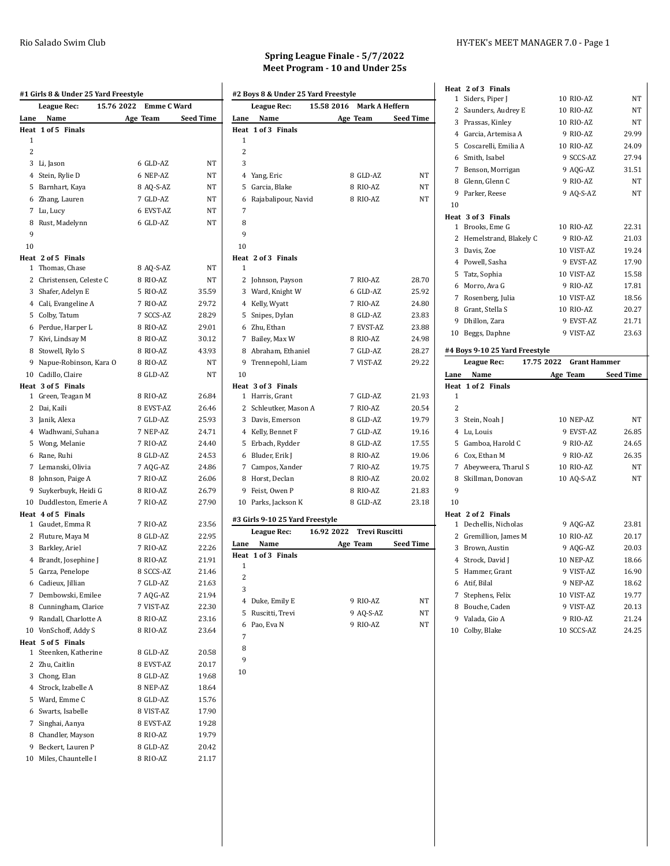| Lane<br>Name<br>Age Team<br>Heat<br>1 of 5 Finals<br>1<br>2<br>3 Li, Jason<br>6 GLD-AZ<br>4 Stein, Rylie D<br>6 NEP-AZ<br>5 Barnhart, Kaya<br>8 AQ-S-AZ<br>6 Zhang, Lauren<br>7 GLD-AZ<br>7 Lu, Lucy<br>6 EVST-AZ<br>8 Rust, Madelynn<br>6 GLD-AZ<br>9<br>10<br>1 Thomas, Chase<br>8 AQ-S-AZ<br>2 Christensen, Celeste C<br>8 RIO-AZ<br>3 Shafer, Adelyn E<br>5 RIO-AZ<br>4 Cali, Evangeline A<br>7 RIO-AZ<br>5 Colby, Tatum<br>7 SCCS-AZ<br>6 Perdue, Harper L<br>8 RIO-AZ<br>7 Kivi, Lindsay M<br>8 RIO-AZ<br>8 Stowell, Rylo S<br>8 RIO-AZ<br>9 Napue-Robinson, Kara O<br>8 RIO-AZ<br>10 Cadillo, Claire<br>8 GLD-AZ<br>1 Green, Teagan M<br>8 RIO-AZ<br>2 Dai, Kaili<br>8 EVST-AZ<br>3 Janik, Alexa<br>7 GLD-AZ<br>4 Wadhwani, Suhana<br>7 NEP-AZ<br>7 RIO-AZ<br>5 Wong, Melanie<br>8 GLD-AZ<br>6 Rane, Ruhi<br>7 Lemanski, Olivia<br>7 AQG-AZ<br>8 Johnson, Paige A<br>7 RIO-AZ<br>9 Suykerbuyk, Heidi G<br>8 RIO-AZ<br>7 RIO-AZ<br>10 Duddleston, Emerie A<br>1 Gaudet, Emma R<br>7 RIO-AZ<br>2 Fluture, Maya M<br>8 GLD-AZ<br>7 RIO-AZ<br>3 Barkley, Ariel<br>8 RIO-AZ<br>4 Brandt, Josephine J<br>8 SCCS-AZ<br>5 Garza, Penelope<br>6 Cadieux, Jillian<br>7 GLD-AZ<br>7 Dembowski, Emilee<br>7 AQG-AZ<br>8 Cunningham, Clarice<br>7 VIST-AZ<br>9<br>Randall, Charlotte A<br>8 RIO-AZ<br>10 VonSchoff, Addy S<br>8 RIO-AZ<br>Steenken, Katherine<br>8 GLD-AZ<br>1<br>2 Zhu, Caitlin<br>8 EVST-AZ<br>3 Chong, Elan<br>8 GLD-AZ<br>4 Strock, Izabelle A<br>8 NEP-AZ<br>5 Ward, Emme C<br>8 GLD-AZ<br>6 Swarts, Isabelle<br>8 VIST-AZ<br>7 Singhai, Aanya<br>8 EVST-AZ<br>8 Chandler, Mayson<br>8 RIO-AZ<br>9 Beckert, Lauren P<br>8 GLD-AZ<br>Miles, Chauntelle I<br>8 RIO-AZ<br>10 | <b>League Rec:</b> | 15.76 2022<br><b>Emme C Ward</b> |                  |
|------------------------------------------------------------------------------------------------------------------------------------------------------------------------------------------------------------------------------------------------------------------------------------------------------------------------------------------------------------------------------------------------------------------------------------------------------------------------------------------------------------------------------------------------------------------------------------------------------------------------------------------------------------------------------------------------------------------------------------------------------------------------------------------------------------------------------------------------------------------------------------------------------------------------------------------------------------------------------------------------------------------------------------------------------------------------------------------------------------------------------------------------------------------------------------------------------------------------------------------------------------------------------------------------------------------------------------------------------------------------------------------------------------------------------------------------------------------------------------------------------------------------------------------------------------------------------------------------------------------------------------------------------------------------------------------|--------------------|----------------------------------|------------------|
|                                                                                                                                                                                                                                                                                                                                                                                                                                                                                                                                                                                                                                                                                                                                                                                                                                                                                                                                                                                                                                                                                                                                                                                                                                                                                                                                                                                                                                                                                                                                                                                                                                                                                          |                    |                                  | <b>Seed Time</b> |
|                                                                                                                                                                                                                                                                                                                                                                                                                                                                                                                                                                                                                                                                                                                                                                                                                                                                                                                                                                                                                                                                                                                                                                                                                                                                                                                                                                                                                                                                                                                                                                                                                                                                                          |                    |                                  |                  |
|                                                                                                                                                                                                                                                                                                                                                                                                                                                                                                                                                                                                                                                                                                                                                                                                                                                                                                                                                                                                                                                                                                                                                                                                                                                                                                                                                                                                                                                                                                                                                                                                                                                                                          |                    |                                  |                  |
|                                                                                                                                                                                                                                                                                                                                                                                                                                                                                                                                                                                                                                                                                                                                                                                                                                                                                                                                                                                                                                                                                                                                                                                                                                                                                                                                                                                                                                                                                                                                                                                                                                                                                          |                    |                                  |                  |
|                                                                                                                                                                                                                                                                                                                                                                                                                                                                                                                                                                                                                                                                                                                                                                                                                                                                                                                                                                                                                                                                                                                                                                                                                                                                                                                                                                                                                                                                                                                                                                                                                                                                                          |                    |                                  | NT               |
|                                                                                                                                                                                                                                                                                                                                                                                                                                                                                                                                                                                                                                                                                                                                                                                                                                                                                                                                                                                                                                                                                                                                                                                                                                                                                                                                                                                                                                                                                                                                                                                                                                                                                          |                    |                                  | ΝT               |
| Heat 2 of 5 Finals<br>Heat 3 of 5 Finals<br>Heat 4 of 5 Finals<br>Heat 5 of 5 Finals                                                                                                                                                                                                                                                                                                                                                                                                                                                                                                                                                                                                                                                                                                                                                                                                                                                                                                                                                                                                                                                                                                                                                                                                                                                                                                                                                                                                                                                                                                                                                                                                     |                    |                                  | NT               |
|                                                                                                                                                                                                                                                                                                                                                                                                                                                                                                                                                                                                                                                                                                                                                                                                                                                                                                                                                                                                                                                                                                                                                                                                                                                                                                                                                                                                                                                                                                                                                                                                                                                                                          |                    |                                  | NT               |
|                                                                                                                                                                                                                                                                                                                                                                                                                                                                                                                                                                                                                                                                                                                                                                                                                                                                                                                                                                                                                                                                                                                                                                                                                                                                                                                                                                                                                                                                                                                                                                                                                                                                                          |                    |                                  | ΝT               |
|                                                                                                                                                                                                                                                                                                                                                                                                                                                                                                                                                                                                                                                                                                                                                                                                                                                                                                                                                                                                                                                                                                                                                                                                                                                                                                                                                                                                                                                                                                                                                                                                                                                                                          |                    |                                  | NT               |
|                                                                                                                                                                                                                                                                                                                                                                                                                                                                                                                                                                                                                                                                                                                                                                                                                                                                                                                                                                                                                                                                                                                                                                                                                                                                                                                                                                                                                                                                                                                                                                                                                                                                                          |                    |                                  |                  |
|                                                                                                                                                                                                                                                                                                                                                                                                                                                                                                                                                                                                                                                                                                                                                                                                                                                                                                                                                                                                                                                                                                                                                                                                                                                                                                                                                                                                                                                                                                                                                                                                                                                                                          |                    |                                  |                  |
|                                                                                                                                                                                                                                                                                                                                                                                                                                                                                                                                                                                                                                                                                                                                                                                                                                                                                                                                                                                                                                                                                                                                                                                                                                                                                                                                                                                                                                                                                                                                                                                                                                                                                          |                    |                                  |                  |
|                                                                                                                                                                                                                                                                                                                                                                                                                                                                                                                                                                                                                                                                                                                                                                                                                                                                                                                                                                                                                                                                                                                                                                                                                                                                                                                                                                                                                                                                                                                                                                                                                                                                                          |                    |                                  | NT               |
|                                                                                                                                                                                                                                                                                                                                                                                                                                                                                                                                                                                                                                                                                                                                                                                                                                                                                                                                                                                                                                                                                                                                                                                                                                                                                                                                                                                                                                                                                                                                                                                                                                                                                          |                    |                                  | ΝT               |
|                                                                                                                                                                                                                                                                                                                                                                                                                                                                                                                                                                                                                                                                                                                                                                                                                                                                                                                                                                                                                                                                                                                                                                                                                                                                                                                                                                                                                                                                                                                                                                                                                                                                                          |                    |                                  | 35.59            |
|                                                                                                                                                                                                                                                                                                                                                                                                                                                                                                                                                                                                                                                                                                                                                                                                                                                                                                                                                                                                                                                                                                                                                                                                                                                                                                                                                                                                                                                                                                                                                                                                                                                                                          |                    |                                  | 29.72            |
|                                                                                                                                                                                                                                                                                                                                                                                                                                                                                                                                                                                                                                                                                                                                                                                                                                                                                                                                                                                                                                                                                                                                                                                                                                                                                                                                                                                                                                                                                                                                                                                                                                                                                          |                    |                                  | 28.29            |
|                                                                                                                                                                                                                                                                                                                                                                                                                                                                                                                                                                                                                                                                                                                                                                                                                                                                                                                                                                                                                                                                                                                                                                                                                                                                                                                                                                                                                                                                                                                                                                                                                                                                                          |                    |                                  | 29.01            |
|                                                                                                                                                                                                                                                                                                                                                                                                                                                                                                                                                                                                                                                                                                                                                                                                                                                                                                                                                                                                                                                                                                                                                                                                                                                                                                                                                                                                                                                                                                                                                                                                                                                                                          |                    |                                  | 30.12            |
|                                                                                                                                                                                                                                                                                                                                                                                                                                                                                                                                                                                                                                                                                                                                                                                                                                                                                                                                                                                                                                                                                                                                                                                                                                                                                                                                                                                                                                                                                                                                                                                                                                                                                          |                    |                                  | 43.93            |
|                                                                                                                                                                                                                                                                                                                                                                                                                                                                                                                                                                                                                                                                                                                                                                                                                                                                                                                                                                                                                                                                                                                                                                                                                                                                                                                                                                                                                                                                                                                                                                                                                                                                                          |                    |                                  | NT               |
|                                                                                                                                                                                                                                                                                                                                                                                                                                                                                                                                                                                                                                                                                                                                                                                                                                                                                                                                                                                                                                                                                                                                                                                                                                                                                                                                                                                                                                                                                                                                                                                                                                                                                          |                    |                                  | NT               |
|                                                                                                                                                                                                                                                                                                                                                                                                                                                                                                                                                                                                                                                                                                                                                                                                                                                                                                                                                                                                                                                                                                                                                                                                                                                                                                                                                                                                                                                                                                                                                                                                                                                                                          |                    |                                  |                  |
|                                                                                                                                                                                                                                                                                                                                                                                                                                                                                                                                                                                                                                                                                                                                                                                                                                                                                                                                                                                                                                                                                                                                                                                                                                                                                                                                                                                                                                                                                                                                                                                                                                                                                          |                    |                                  | 26.84            |
|                                                                                                                                                                                                                                                                                                                                                                                                                                                                                                                                                                                                                                                                                                                                                                                                                                                                                                                                                                                                                                                                                                                                                                                                                                                                                                                                                                                                                                                                                                                                                                                                                                                                                          |                    |                                  | 26.46            |
|                                                                                                                                                                                                                                                                                                                                                                                                                                                                                                                                                                                                                                                                                                                                                                                                                                                                                                                                                                                                                                                                                                                                                                                                                                                                                                                                                                                                                                                                                                                                                                                                                                                                                          |                    |                                  | 25.93            |
|                                                                                                                                                                                                                                                                                                                                                                                                                                                                                                                                                                                                                                                                                                                                                                                                                                                                                                                                                                                                                                                                                                                                                                                                                                                                                                                                                                                                                                                                                                                                                                                                                                                                                          |                    |                                  | 24.71            |
|                                                                                                                                                                                                                                                                                                                                                                                                                                                                                                                                                                                                                                                                                                                                                                                                                                                                                                                                                                                                                                                                                                                                                                                                                                                                                                                                                                                                                                                                                                                                                                                                                                                                                          |                    |                                  | 24.40            |
|                                                                                                                                                                                                                                                                                                                                                                                                                                                                                                                                                                                                                                                                                                                                                                                                                                                                                                                                                                                                                                                                                                                                                                                                                                                                                                                                                                                                                                                                                                                                                                                                                                                                                          |                    |                                  | 24.53            |
|                                                                                                                                                                                                                                                                                                                                                                                                                                                                                                                                                                                                                                                                                                                                                                                                                                                                                                                                                                                                                                                                                                                                                                                                                                                                                                                                                                                                                                                                                                                                                                                                                                                                                          |                    |                                  | 24.86            |
|                                                                                                                                                                                                                                                                                                                                                                                                                                                                                                                                                                                                                                                                                                                                                                                                                                                                                                                                                                                                                                                                                                                                                                                                                                                                                                                                                                                                                                                                                                                                                                                                                                                                                          |                    |                                  | 26.06            |
|                                                                                                                                                                                                                                                                                                                                                                                                                                                                                                                                                                                                                                                                                                                                                                                                                                                                                                                                                                                                                                                                                                                                                                                                                                                                                                                                                                                                                                                                                                                                                                                                                                                                                          |                    |                                  | 26.79            |
|                                                                                                                                                                                                                                                                                                                                                                                                                                                                                                                                                                                                                                                                                                                                                                                                                                                                                                                                                                                                                                                                                                                                                                                                                                                                                                                                                                                                                                                                                                                                                                                                                                                                                          |                    |                                  | 27.90            |
|                                                                                                                                                                                                                                                                                                                                                                                                                                                                                                                                                                                                                                                                                                                                                                                                                                                                                                                                                                                                                                                                                                                                                                                                                                                                                                                                                                                                                                                                                                                                                                                                                                                                                          |                    |                                  |                  |
|                                                                                                                                                                                                                                                                                                                                                                                                                                                                                                                                                                                                                                                                                                                                                                                                                                                                                                                                                                                                                                                                                                                                                                                                                                                                                                                                                                                                                                                                                                                                                                                                                                                                                          |                    |                                  | 23.56            |
|                                                                                                                                                                                                                                                                                                                                                                                                                                                                                                                                                                                                                                                                                                                                                                                                                                                                                                                                                                                                                                                                                                                                                                                                                                                                                                                                                                                                                                                                                                                                                                                                                                                                                          |                    |                                  | 22.95            |
|                                                                                                                                                                                                                                                                                                                                                                                                                                                                                                                                                                                                                                                                                                                                                                                                                                                                                                                                                                                                                                                                                                                                                                                                                                                                                                                                                                                                                                                                                                                                                                                                                                                                                          |                    |                                  | 22.26            |
|                                                                                                                                                                                                                                                                                                                                                                                                                                                                                                                                                                                                                                                                                                                                                                                                                                                                                                                                                                                                                                                                                                                                                                                                                                                                                                                                                                                                                                                                                                                                                                                                                                                                                          |                    |                                  | 21.91            |
|                                                                                                                                                                                                                                                                                                                                                                                                                                                                                                                                                                                                                                                                                                                                                                                                                                                                                                                                                                                                                                                                                                                                                                                                                                                                                                                                                                                                                                                                                                                                                                                                                                                                                          |                    |                                  | 21.46            |
|                                                                                                                                                                                                                                                                                                                                                                                                                                                                                                                                                                                                                                                                                                                                                                                                                                                                                                                                                                                                                                                                                                                                                                                                                                                                                                                                                                                                                                                                                                                                                                                                                                                                                          |                    |                                  | 21.63            |
|                                                                                                                                                                                                                                                                                                                                                                                                                                                                                                                                                                                                                                                                                                                                                                                                                                                                                                                                                                                                                                                                                                                                                                                                                                                                                                                                                                                                                                                                                                                                                                                                                                                                                          |                    |                                  | 21.94            |
|                                                                                                                                                                                                                                                                                                                                                                                                                                                                                                                                                                                                                                                                                                                                                                                                                                                                                                                                                                                                                                                                                                                                                                                                                                                                                                                                                                                                                                                                                                                                                                                                                                                                                          |                    |                                  | 22.30            |
|                                                                                                                                                                                                                                                                                                                                                                                                                                                                                                                                                                                                                                                                                                                                                                                                                                                                                                                                                                                                                                                                                                                                                                                                                                                                                                                                                                                                                                                                                                                                                                                                                                                                                          |                    |                                  | 23.16            |
|                                                                                                                                                                                                                                                                                                                                                                                                                                                                                                                                                                                                                                                                                                                                                                                                                                                                                                                                                                                                                                                                                                                                                                                                                                                                                                                                                                                                                                                                                                                                                                                                                                                                                          |                    |                                  | 23.64            |
|                                                                                                                                                                                                                                                                                                                                                                                                                                                                                                                                                                                                                                                                                                                                                                                                                                                                                                                                                                                                                                                                                                                                                                                                                                                                                                                                                                                                                                                                                                                                                                                                                                                                                          |                    |                                  |                  |
|                                                                                                                                                                                                                                                                                                                                                                                                                                                                                                                                                                                                                                                                                                                                                                                                                                                                                                                                                                                                                                                                                                                                                                                                                                                                                                                                                                                                                                                                                                                                                                                                                                                                                          |                    |                                  | 20.58            |
|                                                                                                                                                                                                                                                                                                                                                                                                                                                                                                                                                                                                                                                                                                                                                                                                                                                                                                                                                                                                                                                                                                                                                                                                                                                                                                                                                                                                                                                                                                                                                                                                                                                                                          |                    |                                  | 20.17            |
|                                                                                                                                                                                                                                                                                                                                                                                                                                                                                                                                                                                                                                                                                                                                                                                                                                                                                                                                                                                                                                                                                                                                                                                                                                                                                                                                                                                                                                                                                                                                                                                                                                                                                          |                    |                                  | 19.68            |
|                                                                                                                                                                                                                                                                                                                                                                                                                                                                                                                                                                                                                                                                                                                                                                                                                                                                                                                                                                                                                                                                                                                                                                                                                                                                                                                                                                                                                                                                                                                                                                                                                                                                                          |                    |                                  | 18.64            |
|                                                                                                                                                                                                                                                                                                                                                                                                                                                                                                                                                                                                                                                                                                                                                                                                                                                                                                                                                                                                                                                                                                                                                                                                                                                                                                                                                                                                                                                                                                                                                                                                                                                                                          |                    |                                  | 15.76            |
|                                                                                                                                                                                                                                                                                                                                                                                                                                                                                                                                                                                                                                                                                                                                                                                                                                                                                                                                                                                                                                                                                                                                                                                                                                                                                                                                                                                                                                                                                                                                                                                                                                                                                          |                    |                                  | 17.90            |
|                                                                                                                                                                                                                                                                                                                                                                                                                                                                                                                                                                                                                                                                                                                                                                                                                                                                                                                                                                                                                                                                                                                                                                                                                                                                                                                                                                                                                                                                                                                                                                                                                                                                                          |                    |                                  | 19.28            |
|                                                                                                                                                                                                                                                                                                                                                                                                                                                                                                                                                                                                                                                                                                                                                                                                                                                                                                                                                                                                                                                                                                                                                                                                                                                                                                                                                                                                                                                                                                                                                                                                                                                                                          |                    |                                  | 19.79            |
|                                                                                                                                                                                                                                                                                                                                                                                                                                                                                                                                                                                                                                                                                                                                                                                                                                                                                                                                                                                                                                                                                                                                                                                                                                                                                                                                                                                                                                                                                                                                                                                                                                                                                          |                    |                                  | 20.42            |
|                                                                                                                                                                                                                                                                                                                                                                                                                                                                                                                                                                                                                                                                                                                                                                                                                                                                                                                                                                                                                                                                                                                                                                                                                                                                                                                                                                                                                                                                                                                                                                                                                                                                                          |                    |                                  | 21.17            |
|                                                                                                                                                                                                                                                                                                                                                                                                                                                                                                                                                                                                                                                                                                                                                                                                                                                                                                                                                                                                                                                                                                                                                                                                                                                                                                                                                                                                                                                                                                                                                                                                                                                                                          |                    |                                  |                  |

# **Spring League Finale - 5/7/2022 Meet Program - 10 and Under 25s**

|                | <b>League Rec:</b>              | 15.58 2016                | <b>Mark A Heffern</b> |
|----------------|---------------------------------|---------------------------|-----------------------|
| Lane           | Name                            | Age Team                  | <b>Seed Time</b>      |
| Heat           | 1 of 3 Finals                   |                           |                       |
| 1              |                                 |                           |                       |
| $\overline{2}$ |                                 |                           |                       |
| 3              |                                 |                           |                       |
|                | 4 Yang, Eric                    | 8 GLD-AZ                  | NT                    |
| 5              | Garcia, Blake                   | 8 RIO-AZ                  | NT                    |
| 6              | Rajabalipour, Navid             | 8 RIO-AZ                  | NT                    |
| 7              |                                 |                           |                       |
| 8              |                                 |                           |                       |
| 9              |                                 |                           |                       |
| 10             |                                 |                           |                       |
|                | Heat 2 of 3 Finals              |                           |                       |
| 1              |                                 |                           |                       |
|                | 2 Johnson, Payson               | 7 RIO-AZ                  | 28.70                 |
|                | 3 Ward, Knight W                | 6 GLD-AZ                  | 25.92                 |
|                | 4 Kelly, Wyatt                  | 7 RIO-AZ                  | 24.80                 |
| 5              | Snipes, Dylan                   | 8 GLD-AZ                  | 23.83                 |
|                | 6 Zhu, Ethan                    | 7 EVST-AZ                 | 23.88                 |
|                | 7 Bailey, Max W                 | 8 RIO-AZ                  | 24.98                 |
|                | 8 Abraham, Ethaniel             | 7 GLD-AZ                  | 28.27                 |
|                | 9 Trennepohl, Liam              | 7 VIST-AZ                 | 29.22                 |
| 10             |                                 |                           |                       |
|                | Heat 3 of 3 Finals              |                           |                       |
| 1              | Harris, Grant                   | 7 GLD-AZ                  | 21.93                 |
|                | 2 Schleutker, Mason A           | 7 RIO-AZ                  | 20.54                 |
|                | 3 Davis, Emerson                | 8 GLD-AZ                  | 19.79                 |
|                | 4 Kelly, Bennet F               | 7 GLD-AZ                  | 19.16                 |
| 5              | Erbach, Rydder                  | 8 GLD-AZ                  | 17.55                 |
|                | 6 Bluder, Erik J                | 8 RIO-AZ                  | 19.06                 |
|                | 7 Campos, Xander                | 7 RIO-AZ                  | 19.75                 |
|                | 8 Horst, Declan                 | 8 RIO-AZ                  | 20.02                 |
|                | 9 Feist, Owen P                 | 8 RIO-AZ                  | 21.83                 |
|                | 10 Parks, Jackson K             | 8 GLD-AZ                  | 23.18                 |
|                | #3 Girls 9-10 25 Yard Freestyle |                           |                       |
|                | <b>League Rec:</b>              | 16.92 2022 Trevi Ruscitti |                       |
| Lane           | Name                            | Age Team                  | <b>Seed Time</b>      |
| Heat           | 1 of 3 Finals                   |                           |                       |
| 1              |                                 |                           |                       |
| $\overline{2}$ |                                 |                           |                       |
| 3              |                                 |                           |                       |
|                | 4 Duke, Emily E                 | 9 RIO-AZ                  | NT                    |
| 5              | Ruscitti, Trevi                 | 9 AQ-S-AZ                 | NT                    |
| 6              | Pao, Eva N                      | 9 RIO-AZ                  | NT                    |
| 7              |                                 |                           |                       |

 

## Rio Salado Swim Club **HY-TEK's MEET MANAGER 7.0** - Page 1

|                | Heat 2 of 3 Finals                 |            |                        |                |
|----------------|------------------------------------|------------|------------------------|----------------|
| 1              | Siders, Piper J                    |            | 10 RIO-AZ              | NΤ             |
|                | 2 Saunders, Audrey E               |            | 10 RIO-AZ              | NT             |
|                | 3 Prassas, Kinley                  |            | 10 RIO-AZ              | NT             |
|                | 4 Garcia, Artemisa A               |            | 9 RIO-AZ               | 29.99          |
|                | 5 Coscarelli, Emilia A             |            | 10 RIO-AZ              | 24.09          |
|                | 6 Smith, Isabel                    |            | 9 SCCS-AZ              | 27.94          |
|                | 7 Benson, Morrigan                 |            | 9 AQG-AZ               | 31.51          |
|                | 8 Glenn, Glenn C                   |            | 9 RIO-AZ               | <b>NT</b>      |
|                | 9 Parker, Reese                    |            | 9 AQ-S-AZ              | NΤ             |
| 10             |                                    |            |                        |                |
|                | Heat 3 of 3 Finals                 |            |                        |                |
| $\mathbf{1}$   | Brooks, Eme G                      |            | 10 RIO-AZ              | 22.31          |
| 2              | Hemelstrand, Blakely C             |            | 9 RIO-AZ               | 21.03          |
|                | 3 Davis, Zoe                       |            | 10 VIST-AZ             | 19.24          |
|                | 4 Powell, Sasha                    |            | 9 EVST-AZ              | 17.90          |
|                | 5 Tatz, Sophia                     |            | 10 VIST-AZ             | 15.58          |
|                | 6 Morro, Ava G                     |            | 9 RIO-AZ               | 17.81          |
|                | 7 Rosenberg, Julia                 |            | 10 VIST-AZ             | 18.56          |
|                | 8 Grant, Stella S                  |            | 10 RIO-AZ              | 20.27          |
|                | 9 Dhillon, Zara                    |            | 9 EVST-AZ              | 21.71          |
|                | 10 Beggs, Daphne                   |            | 9 VIST-AZ              | 23.63          |
|                | #4 Boys 9-10 25 Yard Freestyle     |            |                        |                |
|                |                                    |            |                        |                |
|                | League Rec:                        | 17.75 2022 | <b>Grant Hammer</b>    |                |
| Lane           | Name                               | Age Team   |                        | Seed Time      |
|                | Heat 1 of 2 Finals                 |            |                        |                |
| 1              |                                    |            |                        |                |
| $\overline{2}$ |                                    |            |                        |                |
|                | 3 Stein, Noah J                    |            | 10 NEP-AZ              | NT             |
|                | 4 Lu, Louis                        |            | 9 EVST-AZ              | 26.85          |
|                | 5 Gamboa, Harold C                 |            | 9 RIO-AZ               | 24.65          |
|                | 6 Cox, Ethan M                     |            | 9 RIO-AZ               | 26.35          |
|                | 7 Abeyweera, Tharul S              |            | 10 RIO-AZ              | NT             |
|                | 8 Skillman, Donovan                |            | 10 AQ-S-AZ             | NT             |
| 9              |                                    |            |                        |                |
| 10             |                                    |            |                        |                |
|                | Heat 2 of 2 Finals                 |            |                        |                |
| $\mathbf{1}$   | Dechellis, Nicholas                |            | 9 AQG-AZ               | 23.81          |
|                | 2 Gremillion, James M              |            | 10 RIO-AZ              | 20.17          |
|                | 3 Brown, Austin                    |            | 9 AQG-AZ               | 20.03          |
|                | 4 Strock, David J                  |            | 10 NEP-AZ              | 18.66          |
|                | 5 Hammer, Grant                    |            | 9 VIST-AZ              | 16.90          |
|                | 6 Atif, Bilal                      |            | 9 NEP-AZ               | 18.62          |
|                | 7 Stephens, Felix                  |            | 10 VIST-AZ             | 19.77          |
| 8              | Bouche, Caden                      |            | 9 VIST-AZ              | 20.13          |
|                | 9 Valada, Gio A<br>10 Colby, Blake |            | 9 RIO-AZ<br>10 SCCS-AZ | 21.24<br>24.25 |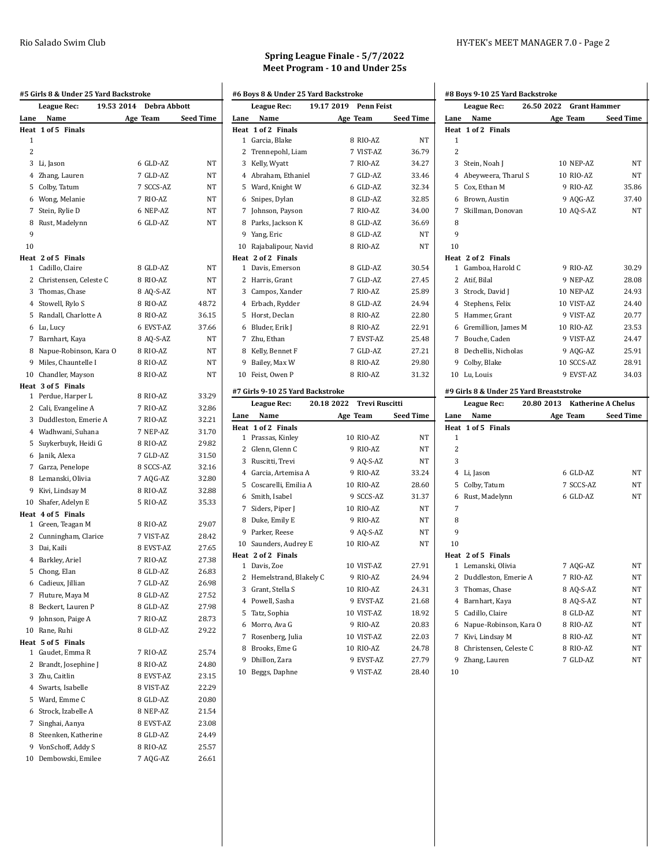|                | <b>League Rec:</b>       | 19.53 2014 Debra Abbott |                  |
|----------------|--------------------------|-------------------------|------------------|
| Lane           | Name                     | Age Team                | <b>Seed Time</b> |
|                | Heat 1 of 5 Finals       |                         |                  |
| 1              |                          |                         |                  |
| 2              |                          |                         |                  |
|                | 3 Li, Jason              | 6 GLD-AZ                | NT               |
|                | 4 Zhang, Lauren          | 7 GLD-AZ                | NT               |
|                | 5 Colby, Tatum           | 7 SCCS-AZ               | NT               |
|                | 6 Wong, Melanie          | 7 RIO-AZ                | ΝT               |
|                | 7 Stein, Rylie D         | 6 NEP-AZ                | NT               |
|                | 8 Rust, Madelynn         | 6 GLD-AZ                | NT               |
| 9              |                          |                         |                  |
| 10             |                          |                         |                  |
|                | Heat 2 of 5 Finals       |                         |                  |
|                | 1 Cadillo, Claire        | 8 GLD-AZ                | NT               |
|                | 2 Christensen, Celeste C | 8 RIO-AZ                | ΝT               |
|                | 3 Thomas, Chase          | 8 AQ-S-AZ               | NT               |
|                | 4 Stowell, Rylo S        | 8 RIO-AZ                | 48.72            |
|                | 5 Randall, Charlotte A   | 8 RIO-AZ                | 36.15            |
|                | 6 Lu, Lucy               | 6 EVST-AZ               | 37.66            |
|                | 7 Barnhart, Kaya         | 8 AQ-S-AZ               | NT               |
|                | 8 Napue-Robinson, Kara O | 8 RIO-AZ                | NT               |
|                | 9 Miles, Chauntelle I    | 8 RIO-AZ                | <b>NT</b>        |
|                | 10 Chandler, Mayson      | 8 RIO-AZ                | NT               |
|                | Heat 3 of 5 Finals       |                         |                  |
|                | 1 Perdue, Harper L       | 8 RIO-AZ                | 33.29            |
|                | 2 Cali, Evangeline A     | 7 RIO-AZ                | 32.86            |
|                | 3 Duddleston, Emerie A   | 7 RIO-AZ                | 32.21            |
|                | 4 Wadhwani, Suhana       | 7 NEP-AZ                | 31.70            |
|                | 5 Suykerbuyk, Heidi G    | 8 RIO-AZ                | 29.82            |
|                | 6 Janik, Alexa           | 7 GLD-AZ                | 31.50            |
|                | 7 Garza, Penelope        | 8 SCCS-AZ               | 32.16            |
|                | 8 Lemanski, Olivia       | 7 AQG-AZ                | 32.80            |
|                | 9 Kivi, Lindsay M        | 8 RIO-AZ                | 32.88            |
|                | 10 Shafer, Adelyn E      | 5 RIO-AZ                | 35.33            |
|                | Heat 4 of 5 Finals       |                         |                  |
|                | 1 Green, Teagan M        | 8 RIO-AZ                | 29.07            |
|                | 2 Cunningham, Clarice    | 7 VIST-AZ               | 28.42            |
|                | 3 Dai, Kaili             | 8 EVST-AZ               | 27.65            |
|                | 4 Barkley, Ariel         | 7 RIO-AZ                | 27.38            |
|                | 5 Chong, Elan            | 8 GLD-AZ                | 26.83            |
|                | 6 Cadieux, Jillian       | 7 GLD-AZ                | 26.98            |
| $\overline{7}$ | Fluture, Maya M          | 8 GLD-AZ                | 27.52            |
| 8              | Beckert, Lauren P        | 8 GLD-AZ                | 27.98            |
| 9              | Johnson, Paige A         | 7 RIO-AZ                | 28.73            |
|                | 10 Rane, Ruhi            | 8 GLD-AZ                | 29.22            |
| Heat           | 5 of 5 Finals            |                         |                  |
| 1              | Gaudet, Emma R           | 7 RIO-AZ                | 25.74            |
| 2              | Brandt, Josephine J      | 8 RIO-AZ                | 24.80            |
|                | 3 Zhu, Caitlin           | 8 EVST-AZ               | 23.15            |
|                | 4 Swarts, Isabelle       | 8 VIST-AZ               | 22.29            |
|                | 5 Ward, Emme C           | 8 GLD-AZ                | 20.80            |
|                | 6 Strock, Izabelle A     | 8 NEP-AZ                | 21.54            |
| 7              | Singhai, Aanya           | 8 EVST-AZ               | 23.08            |
|                | 8 Steenken, Katherine    | 8 GLD-AZ                | 24.49            |
|                | 9 VonSchoff, Addy S      | 8 RIO-AZ                | 25.57            |
|                | 10 Dembowski, Emilee     | 7 AQG-AZ                | 26.61            |
|                |                          |                         |                  |

### **Spring League Finale - 5/7/2022 Meet Program - 10 and Under 25s**

|                | #6 Boys 8 & Under 25 Yard Backstroke |  |                           |                    |
|----------------|--------------------------------------|--|---------------------------|--------------------|
|                | <b>League Rec:</b>                   |  | 19.17 2019 Penn Feist     |                    |
| Lane           | Name                                 |  |                           | Age Team Seed Time |
| Heat           | 1 of 2 Finals                        |  |                           |                    |
|                | 1 Garcia, Blake                      |  | 8 RIO-AZ                  | NT                 |
|                | 2 Trennepohl, Liam                   |  | 7 VIST-AZ                 | 36.79              |
|                | 3 Kelly, Wyatt                       |  | 7 RIO-AZ                  | 34.27              |
|                | 4 Abraham, Ethaniel                  |  | 7 GLD-AZ                  | 33.46              |
|                | 5 Ward, Knight W                     |  | 6 GLD-AZ                  | 32.34              |
|                | 6 Snipes, Dylan                      |  | 8 GLD-AZ                  | 32.85              |
|                | 7 Johnson, Payson                    |  | 7 RIO-AZ                  | 34.00              |
|                | 8 Parks, Jackson K                   |  | 8 GLD-AZ                  | 36.69              |
|                | 9 Yang, Eric                         |  | 8 GLD-AZ                  | NT                 |
|                | 10 Rajabalipour, Navid               |  | 8 RIO-AZ                  | NT                 |
|                | Heat 2 of 2 Finals                   |  |                           |                    |
|                | 1 Davis, Emerson                     |  | 8 GLD-AZ                  | 30.54              |
|                | 2 Harris, Grant                      |  | 7 GLD-AZ                  | 27.45              |
|                | 3 Campos, Xander                     |  | 7 RIO-AZ                  | 25.89              |
|                | 4 Erbach, Rydder                     |  | 8 GLD-AZ                  | 24.94              |
|                | 5 Horst, Declan                      |  | 8 RIO-AZ                  | 22.80              |
|                | 6 Bluder, Erik J                     |  | 8 RIO-AZ                  | 22.91              |
|                | 7 Zhu, Ethan                         |  | 7 EVST-AZ                 | 25.48              |
|                | 8 Kelly, Bennet F                    |  | 7 GLD-AZ                  | 27.21              |
|                | 9 Bailey, Max W                      |  | 8 RIO-AZ                  | 29.80              |
|                | 10 Feist, Owen P                     |  | 8 RIO-AZ                  | 31.32              |
|                |                                      |  |                           |                    |
|                | #7 Girls 9-10 25 Yard Backstroke     |  |                           |                    |
|                | <b>League Rec:</b>                   |  | 20.18 2022 Trevi Ruscitti |                    |
|                | Name                                 |  | Age Team                  | <b>Seed Time</b>   |
|                | Heat 1 of 2 Finals                   |  |                           |                    |
|                | 1 Prassas, Kinley                    |  | 10 RIO-AZ                 | ΝT                 |
| Lane           | 2 Glenn, Glenn C                     |  | 9 RIO-AZ                  | NT                 |
|                | 3 Ruscitti, Trevi                    |  | 9 AQ-S-AZ                 | NT                 |
|                | 4 Garcia, Artemisa A                 |  | 9 RIO-AZ                  | 33.24              |
|                | 5 Coscarelli, Emilia A               |  | 10 RIO-AZ                 | 28.60              |
|                | 6 Smith, Isabel                      |  | 9 SCCS-AZ                 | 31.37              |
|                | 7 Siders, Piper J                    |  | 10 RIO-AZ                 | <b>NT</b>          |
|                | 8 Duke, Emily E                      |  | 9 RIO-AZ                  | NT                 |
|                | 9 Parker, Reese                      |  | 9 AQ-S-AZ                 | NT                 |
|                | 10 Saunders, Audrey E                |  | 10 RIO-AZ                 | NT                 |
|                | Heat 2 of 2 Finals                   |  |                           |                    |
|                | 1 Davis, Zoe                         |  | 10 VIST-AZ                | 27.91              |
|                | 2 Hemelstrand, Blakely C             |  | 9 RIO-AZ                  | 24.94              |
|                | 3 Grant, Stella S                    |  | 10 RIO-AZ                 | 24.31              |
| $\overline{4}$ | Powell, Sasha                        |  | 9 EVST-AZ                 | 21.68              |
| 5              | Tatz, Sophia                         |  | 10 VIST-AZ                | 18.92              |
| 6              | Morro, Ava G                         |  | 9 RIO-AZ                  | 20.83              |
| 7              | Rosenberg, Julia                     |  | 10 VIST-AZ                | 22.03              |
| 8              | Brooks, Eme G                        |  | 10 RIO-AZ                 | 24.78              |
| 9              | Dhillon, Zara                        |  | 9 EVST-AZ                 | 27.79              |

## Rio Salado Swim Club **HY-TEK's MEET MANAGER 7.0** - Page 2

| <b>League Rec:</b>                                                                                                                               | 26.50 2022 Grant Hammer |                                                                                            |
|--------------------------------------------------------------------------------------------------------------------------------------------------|-------------------------|--------------------------------------------------------------------------------------------|
| Name<br>Lane                                                                                                                                     | Age Team                | <b>Seed Time</b>                                                                           |
| Heat 1 of 2 Finals                                                                                                                               |                         |                                                                                            |
| 1                                                                                                                                                |                         |                                                                                            |
| 2                                                                                                                                                |                         |                                                                                            |
| 3 Stein, Noah J                                                                                                                                  | 10 NEP-AZ               | NT                                                                                         |
| 4 Abeyweera, Tharul S                                                                                                                            | 10 RIO-AZ               | NΤ                                                                                         |
| 5 Cox, Ethan M                                                                                                                                   | 9 RIO-AZ                | 35.86                                                                                      |
| 6 Brown, Austin                                                                                                                                  | 9 AQG-AZ                | 37.40                                                                                      |
| 7 Skillman, Donovan                                                                                                                              | 10 AQ-S-AZ              | NT                                                                                         |
| 8                                                                                                                                                |                         |                                                                                            |
| 9                                                                                                                                                |                         |                                                                                            |
| 10                                                                                                                                               |                         |                                                                                            |
| Heat 2 of 2 Finals                                                                                                                               |                         |                                                                                            |
| 1 Gamboa, Harold C                                                                                                                               | 9 RIO-AZ                | 30.29                                                                                      |
| 2 Atif, Bilal                                                                                                                                    | 9 NEP-AZ                | 28.08                                                                                      |
| 3 Strock, David J                                                                                                                                | 10 NEP-AZ               | 24.93                                                                                      |
| 4 Stephens, Felix                                                                                                                                | 10 VIST-AZ              | 24.40                                                                                      |
| 5 Hammer, Grant                                                                                                                                  | 9 VIST-AZ               | 20.77                                                                                      |
| 6 Gremillion, James M                                                                                                                            | 10 RIO-AZ               | 23.53                                                                                      |
| 7 Bouche, Caden                                                                                                                                  | 9 VIST-AZ               | 24.47                                                                                      |
| 8 Dechellis, Nicholas                                                                                                                            | 9 AQG-AZ                | 25.91                                                                                      |
|                                                                                                                                                  |                         |                                                                                            |
| 9 Colby, Blake                                                                                                                                   | 10 SCCS-AZ              |                                                                                            |
| 10 Lu, Louis                                                                                                                                     | 9 EVST-AZ               |                                                                                            |
|                                                                                                                                                  |                         |                                                                                            |
| League Rec:                                                                                                                                      |                         | 28.91<br>34.03<br>20.80 2013 Katherine A Chelus                                            |
| Name                                                                                                                                             |                         |                                                                                            |
|                                                                                                                                                  |                         |                                                                                            |
| 1                                                                                                                                                |                         |                                                                                            |
| 2                                                                                                                                                |                         |                                                                                            |
| 3                                                                                                                                                |                         |                                                                                            |
| 4 Li, Jason                                                                                                                                      | 6 GLD-AZ                |                                                                                            |
| 5 Colby, Tatum                                                                                                                                   | 7 SCCS-AZ               |                                                                                            |
| 6 Rust, Madelynn                                                                                                                                 | 6 GLD-AZ                |                                                                                            |
| 7                                                                                                                                                |                         |                                                                                            |
| 8                                                                                                                                                |                         |                                                                                            |
| 9                                                                                                                                                |                         |                                                                                            |
| 10                                                                                                                                               |                         |                                                                                            |
|                                                                                                                                                  |                         |                                                                                            |
| 1 Lemanski, Olivia                                                                                                                               | 7 AQG-AZ                |                                                                                            |
| 2 Duddleston, Emerie A                                                                                                                           | 7 RIO-AZ                |                                                                                            |
| 3 Thomas, Chase                                                                                                                                  | 8 AQ-S-AZ               |                                                                                            |
| 4<br>Barnhart, Kaya                                                                                                                              | 8 AQ-S-AZ               |                                                                                            |
| 5 Cadillo, Claire                                                                                                                                | 8 GLD-AZ                |                                                                                            |
| 6<br>Napue-Robinson, Kara O                                                                                                                      | 8 RIO-AZ                |                                                                                            |
| 7<br>Kivi, Lindsay M                                                                                                                             | 8 RIO-AZ                |                                                                                            |
| #9 Girls 8 & Under 25 Yard Breaststroke<br>Lane<br>Heat 1 of 5 Finals<br>Heat 2 of 5 Finals<br>8<br>Christensen, Celeste C<br>9<br>Zhang, Lauren | 8 RIO-AZ<br>7 GLD-AZ    | Age Team Seed Time<br>NΤ<br>NΤ<br>NΤ<br>NT<br>NT<br>NΤ<br>NΤ<br>NΤ<br>NΤ<br>NΤ<br>NΤ<br>NΤ |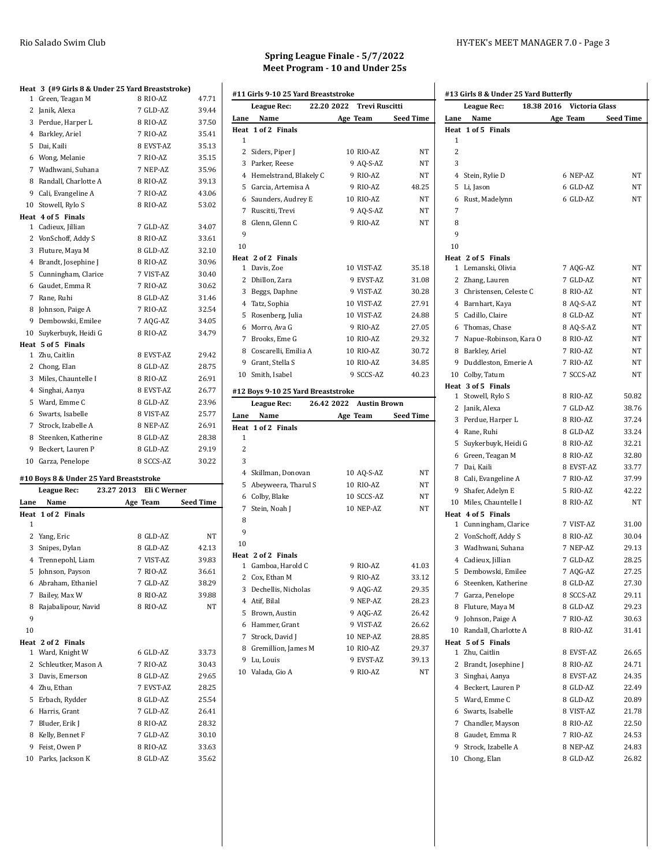|                | Heat 3 (#9 Girls 8 & Under 25 Yard Breaststroke) | 8 RIO-AZ  | 47.71 |
|----------------|--------------------------------------------------|-----------|-------|
|                | 1 Green, Teagan M                                |           |       |
|                | 2 Janik, Alexa                                   | 7 GLD-AZ  | 39.44 |
|                | 3 Perdue, Harper L                               | 8 RIO-AZ  | 37.50 |
| 4              | Barkley, Ariel                                   | 7 RIO-AZ  | 35.41 |
| 5              | Dai. Kaili                                       | 8 EVST-AZ | 35.13 |
|                | 6 Wong, Melanie                                  | 7 RIO-AZ  | 35.15 |
|                | 7 Wadhwani, Suhana                               | 7 NEP-AZ  | 35.96 |
| 8              | Randall, Charlotte A                             | 8 RIO-AZ  | 39.13 |
|                | 9 Cali, Evangeline A                             | 7 RIO-AZ  | 43.06 |
| 10             | Stowell, Rylo S                                  | 8 RIO-AZ  | 53.02 |
|                | Heat 4 of 5 Finals                               |           |       |
| $\mathbf{1}$   | Cadieux, Jillian                                 | 7 GLD-AZ  | 34.07 |
|                | 2 VonSchoff, Addy S                              | 8 RIO-AZ  | 33.61 |
|                | 3 Fluture, Maya M                                | 8 GLD-AZ  | 32.10 |
|                | 4 Brandt, Josephine J                            | 8 RIO-AZ  | 30.96 |
|                | 5 Cunningham, Clarice                            | 7 VIST-AZ | 30.40 |
|                | 6 Gaudet, Emma R                                 | 7 RIO-AZ  | 30.62 |
|                | 7 Rane, Ruhi                                     | 8 GLD-AZ  | 31.46 |
| 8              | Johnson, Paige A                                 | 7 RIO-AZ  | 32.54 |
| 9              | Dembowski, Emilee                                | 7 AQG-AZ  | 34.05 |
| 10             | Suykerbuyk, Heidi G                              | 8 RIO-AZ  | 34.79 |
| Heat           | 5 of 5 Finals                                    |           |       |
| 1              | Zhu, Caitlin                                     | 8 EVST-AZ | 29.42 |
|                | 2 Chong, Elan                                    | 8 GLD-AZ  | 28.75 |
| 3              | Miles, Chauntelle I                              | 8 RIO-AZ  | 26.91 |
| $\overline{4}$ | Singhai, Aanya                                   | 8 EVST-AZ | 26.77 |
| 5.             | Ward, Emme C                                     | 8 GLD-AZ  | 23.96 |
| 6              | Swarts, Isabelle                                 | 8 VIST-AZ | 25.77 |
|                | 7 Strock. Izabelle A                             | 8 NEP-AZ  | 26.91 |
|                | 8 Steenken, Katherine                            | 8 GLD-AZ  | 28.38 |
| 9              | Beckert, Lauren P                                | 8 GLD-AZ  | 29.19 |
| 10             | Garza, Penelope                                  | 8 SCCS-AZ | 30.22 |

#### **#10 Boys 8 & Under 25 Yard Breaststroke**

|      | 23.27 2013<br>League Rec: | Eli C Werner |                  |
|------|---------------------------|--------------|------------------|
| Lane | Name                      | Age Team     | <b>Seed Time</b> |
|      | Heat 1 of 2 Finals        |              |                  |
| 1    |                           |              |                  |
| 2    | Yang, Eric                | 8 GLD-AZ     | <b>NT</b>        |
| 3    | Snipes, Dylan             | 8 GLD-AZ     | 42.13            |
| 4    | Trennepohl, Liam          | 7 VIST-AZ    | 39.83            |
| 5    | Johnson, Payson           | 7 RIO-AZ     | 36.61            |
| 6    | Abraham, Ethaniel         | 7 GLD-AZ     | 38.29            |
| 7    | Bailey, Max W             | 8 RIO-AZ     | 39.88            |
| 8    | Rajabalipour, Navid       | 8 RIO-AZ     | <b>NT</b>        |
| 9    |                           |              |                  |
| 10   |                           |              |                  |
|      | Heat 2 of 2 Finals        |              |                  |
| 1    | Ward, Knight W            | 6 GLD-AZ     | 33.73            |
| 2    | Schleutker, Mason A       | 7 RIO-AZ     | 30.43            |
| 3    | Davis, Emerson            | 8 GLD-AZ     | 29.65            |
| 4    | Zhu, Ethan                | 7 EVST-AZ    | 28.25            |
| 5    | Erbach, Rydder            | 8 GLD-AZ     | 25.54            |
| 6    | Harris, Grant             | 7 GLD-AZ     | 26.41            |
| 7    | Bluder, Erik J            | 8 RIO-AZ     | 28.32            |
| 8    | Kelly, Bennet F           | 7 GLD-AZ     | 30.10            |
| 9    | Feist. Owen P             | 8 RIO-AZ     | 33.63            |
| 10   | Parks, Jackson K          | 8 GLD-AZ     | 35.62            |

# **Spring League Finale - 5/7/2022 Meet Program - 10 and Under 25s**

|                | #11 Girls 9-10 25 Yard Breaststroke   |                                     |                  |
|----------------|---------------------------------------|-------------------------------------|------------------|
|                | League Rec:                           | 22.20 2022<br><b>Trevi Ruscitti</b> |                  |
| Lane           | Name                                  | <b>Age Team</b>                     | <b>Seed Time</b> |
|                | Heat 1 of 2 Finals                    |                                     |                  |
| 1              |                                       |                                     |                  |
|                | 2 Siders, Piper J                     | 10 RIO-AZ                           | NT               |
|                | 3 Parker, Reese                       | 9 AQ-S-AZ                           | NT               |
|                | 4 Hemelstrand, Blakely C              | 9 RIO-AZ                            | NΤ               |
|                | 5 Garcia, Artemisa A                  | 9 RIO-AZ                            | 48.25            |
|                | 6 Saunders, Audrey E                  | 10 RIO-AZ                           | NT               |
|                | 7 Ruscitti, Trevi                     | 9 AQ-S-AZ                           | NT               |
|                | 8 Glenn, Glenn C                      | 9 RIO-AZ                            | NΤ               |
| 9              |                                       |                                     |                  |
| 10             |                                       |                                     |                  |
|                | Heat 2 of 2 Finals                    |                                     |                  |
|                | 1 Davis, Zoe                          | 10 VIST-AZ                          | 35.18            |
|                | 2 Dhillon, Zara                       | 9 EVST-AZ                           | 31.08            |
|                | 3 Beggs, Daphne                       | 9 VIST-AZ                           | 30.28            |
|                | 4 Tatz, Sophia                        | 10 VIST-AZ                          | 27.91            |
|                | 5 Rosenberg, Julia                    | 10 VIST-AZ<br>9 RIO-AZ              | 24.88            |
|                | 6 Morro, Ava G                        | 10 RIO-AZ                           | 27.05            |
|                | 7 Brooks, Eme G                       | 10 RIO-AZ                           | 29.32            |
|                | 8 Coscarelli, Emilia A                | 10 RIO-AZ                           | 30.72            |
|                | 9 Grant, Stella S<br>10 Smith, Isabel | 9 SCCS-AZ                           | 34.85<br>40.23   |
|                |                                       |                                     |                  |
|                |                                       |                                     |                  |
|                | #12 Boys 9-10 25 Yard Breaststroke    |                                     |                  |
|                | League Rec:                           | 26.42 2022 Austin Brown             |                  |
| Lane           | Name                                  | Age Team                            | <b>Seed Time</b> |
| Heat           | 1 of 2 Finals                         |                                     |                  |
| 1              |                                       |                                     |                  |
| $\overline{2}$ |                                       |                                     |                  |
| 3              |                                       |                                     |                  |
|                | 4 Skillman, Donovan                   | 10 AQ-S-AZ                          | NΤ               |
|                | 5 Abeyweera, Tharul S                 | 10 RIO-AZ                           | NΤ               |
|                | 6 Colby, Blake                        | 10 SCCS-AZ                          | NΤ               |
|                | 7 Stein, Noah J                       | 10 NEP-AZ                           | NΤ               |
| 8              |                                       |                                     |                  |
| 9              |                                       |                                     |                  |
| 10             | Heat 2 of 2 Finals                    |                                     |                  |
|                | 1 Gamboa, Harold C                    | 9 RIO-AZ                            | 41.03            |
|                | 2 Cox, Ethan M                        | 9 RIO-AZ                            | 33.12            |
| 3              | Dechellis, Nicholas                   | 9 AQG-AZ                            | 29.35            |
| 4              | Atif, Bilal                           | 9 NEP-AZ                            | 28.23            |
| 5              | Brown, Austin                         | 9 AQG-AZ                            | 26.42            |
|                | 6 Hammer, Grant                       | 9 VIST-AZ                           | 26.62            |
| 7              | Strock, David J                       | 10 NEP-AZ                           | 28.85            |
|                | 8 Gremillion, James M                 | 10 RIO-AZ                           | 29.37            |
| 9              | Lu, Louis                             | 9 EVST-AZ                           | 39.13            |

### Rio Salado Swim Club **HY-TEK's MEET MANAGER 7.0** - Page 3

|      | League Rec:              | 18.38 2016 Victoria Glass |                  |
|------|--------------------------|---------------------------|------------------|
| Lane | Name                     | Age Team                  | <b>Seed Time</b> |
|      | Heat 1 of 5 Finals       |                           |                  |
| 1    |                          |                           |                  |
| 2    |                          |                           |                  |
| 3    |                          |                           |                  |
|      | 4 Stein, Rylie D         | 6 NEP-AZ                  | NΤ               |
| 5    | Li, Jason                | 6 GLD-AZ                  | NΤ               |
| 6    | Rust, Madelynn           | 6 GLD-AZ                  | NΤ               |
| 7    |                          |                           |                  |
| 8    |                          |                           |                  |
| 9    |                          |                           |                  |
| 10   |                          |                           |                  |
|      | Heat 2 of 5 Finals       |                           |                  |
|      | 1 Lemanski, Olivia       | 7 AQG-AZ                  | NT               |
|      | 2 Zhang, Lauren          | 7 GLD-AZ                  | NΤ               |
|      | 3 Christensen, Celeste C | 8 RIO-AZ                  | NΤ               |
|      | 4 Barnhart, Kaya         | 8 AQ-S-AZ                 | NT               |
|      | 5 Cadillo, Claire        | 8 GLD-AZ                  | NΤ               |
|      | 6 Thomas, Chase          | 8 AQ-S-AZ                 | NT               |
|      | 7 Napue-Robinson, Kara O | 8 RIO-AZ                  | NT               |
|      | 8 Barkley, Ariel         | 7 RIO-AZ                  | NT               |
|      | 9 Duddleston, Emerie A   | 7 RIO-AZ                  | NΤ               |
|      | 10 Colby, Tatum          | 7 SCCS-AZ                 | NT               |
|      | Heat 3 of 5 Finals       |                           |                  |
|      | 1 Stowell, Rylo S        | 8 RIO-AZ                  | 50.82            |
|      | 2 Janik, Alexa           | 7 GLD-AZ                  | 38.76            |
|      | 3 Perdue, Harper L       | 8 RIO-AZ                  | 37.24            |
|      | 4 Rane, Ruhi             | 8 GLD-AZ                  | 33.24            |
|      | 5 Suykerbuyk, Heidi G    | 8 RIO-AZ                  | 32.21            |
|      | 6 Green, Teagan M        | 8 RIO-AZ                  | 32.80            |
|      | 7 Dai, Kaili             | 8 EVST-AZ                 | 33.77            |
|      | 8 Cali, Evangeline A     | 7 RIO-AZ                  | 37.99            |
|      | 9 Shafer, Adelyn E       | 5 RIO-AZ                  | 42.22            |
|      | 10 Miles, Chauntelle I   | 8 RIO-AZ                  | NT               |
|      | Heat 4 of 5 Finals       |                           |                  |
|      | 1 Cunningham, Clarice    | 7 VIST-AZ                 | 31.00            |
|      | 2 VonSchoff, Addy S      | 8 RIO-AZ                  | 30.04            |
|      | 3 Wadhwani, Suhana       | 7 NEP-AZ                  | 29.13            |
|      | 4 Cadieux, Jillian       | 7 GLD-AZ                  | 28.25            |
|      | 5 Dembowski, Emilee      | 7 AQG-AZ                  | 27.25            |
|      | 6 Steenken, Katherine    | 8 GLD-AZ                  | 27.30            |
|      | 7 Garza, Penelope        | 8 SCCS-AZ                 | 29.11            |
|      | 8 Fluture, Maya M        | 8 GLD-AZ                  | 29.23            |
| 9    | Johnson, Paige A         | 7 RIO-AZ                  | 30.63            |
|      | 10 Randall, Charlotte A  | 8 RIO-AZ                  | 31.41            |
|      | Heat 5 of 5 Finals       |                           |                  |
|      | 1 Zhu, Caitlin           | 8 EVST-AZ                 | 26.65            |
| 2    | Brandt, Josephine J      | 8 RIO-AZ                  | 24.71            |
| 3    | Singhai, Aanya           | 8 EVST-AZ                 | 24.35            |
|      | 4 Beckert, Lauren P      | 8 GLD-AZ                  | 22.49            |
|      | 5 Ward, Emme C           | 8 GLD-AZ                  | 20.89            |
| 6    | Swarts, Isabelle         | 8 VIST-AZ                 | 21.78            |
|      |                          |                           |                  |
| 7    | Chandler, Mayson         | 8 RIO-AZ                  | 22.50            |
|      | 8 Gaudet, Emma R         | 7 RIO-AZ                  | 24.53            |
| 9    | Strock, Izabelle A       | 8 NEP-AZ                  | 24.83            |
| 10   | Chong, Elan              | 8 GLD-AZ                  | 26.82            |